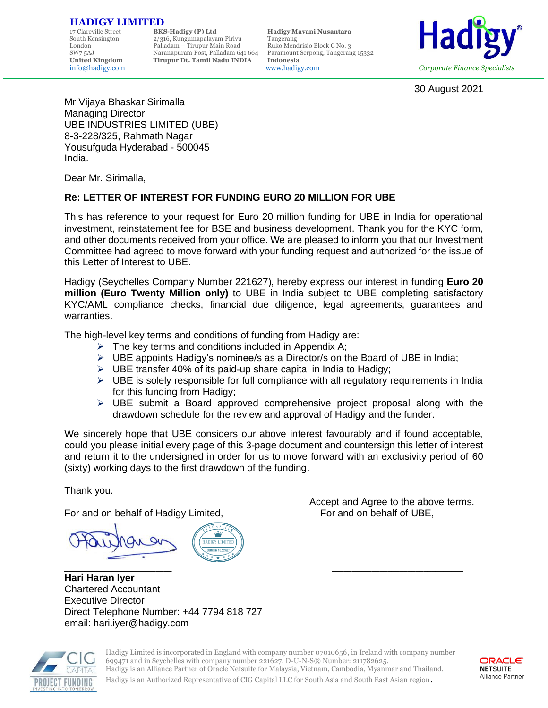## **HADIGY LIMITED**<br>17 Clareville Street BKS-Hadigy (P) Ltd

17 Clareville Street **BKS-Hadigy (P) Ltd Hadigy Mavani Nusantara** 2/316, Kungumapalayam Pirivu Tangerang<br>Palladam – Tirupur Main Road Ruko Mendrisio Block C No. 3 London Palladam – Tirupur Main Road Ruko Mendrisio Block C No. 3 SW7 5AJ Naranapuram Post, Palladam 641 664 Paramount Serpong, Tangerang 15332<br>
United Kingdom Tirupur Dt. Tamil Nadu INDIA Indonesia **United Kingdom Tirupur Dt. Tamil Nadu INDIA Indonesia**

[info@hadigy.com](mailto:info@hadigy.com) [www.hadigy.com](http://www.hadigy.com/) *Corporate Finance Specialists*



30 August 2021

Mr Vijaya Bhaskar Sirimalla Managing Director UBE INDUSTRIES LIMITED (UBE) 8-3-228/325, Rahmath Nagar Yousufguda Hyderabad - 500045 India.

Dear Mr. Sirimalla,

#### **Re: LETTER OF INTEREST FOR FUNDING EURO 20 MILLION FOR UBE**

This has reference to your request for Euro 20 million funding for UBE in India for operational investment, reinstatement fee for BSE and business development. Thank you for the KYC form, and other documents received from your office. We are pleased to inform you that our Investment Committee had agreed to move forward with your funding request and authorized for the issue of this Letter of Interest to UBE.

Hadigy (Seychelles Company Number 221627), hereby express our interest in funding **Euro 20 million (Euro Twenty Million only)** to UBE in India subject to UBE completing satisfactory KYC/AML compliance checks, financial due diligence, legal agreements, guarantees and warranties.

The high-level key terms and conditions of funding from Hadigy are:

- $\triangleright$  The key terms and conditions included in Appendix A;
- $\triangleright$  UBE appoints Hadigy's nominee/s as a Director/s on the Board of UBE in India;
- ➢ UBE transfer 40% of its paid-up share capital in India to Hadigy;
- $\triangleright$  UBE is solely responsible for full compliance with all regulatory requirements in India for this funding from Hadigy;
- $\triangleright$  UBE submit a Board approved comprehensive project proposal along with the drawdown schedule for the review and approval of Hadigy and the funder.

We sincerely hope that UBE considers our above interest favourably and if found acceptable, could you please initial every page of this 3-page document and countersign this letter of interest and return it to the undersigned in order for us to move forward with an exclusivity period of 60 (sixty) working days to the first drawdown of the funding.

Thank you.

For and on behalf of Hadigy Limited, For and on behalf of UBE,

**JADIGY LIMITE** 

 $\Box$ **Hari Haran Iyer** Chartered Accountant Executive Director Direct Telephone Number: +44 7794 818 727 email: hari.iyer@hadigy.com

Accept and Agree to the above terms.



Hadigy Limited is incorporated in England with company number 07010656, in Ireland with company number 699471 and in Seychelles with company number 221627. D-U-N-S® Number: 211782625. Hadigy is an Alliance Partner of Oracle Netsuite for Malaysia, Vietnam, Cambodia, Myanmar and Thailand.



Hadigy is an Authorized Representative of CIG Capital LLC for South Asia and South East Asian region.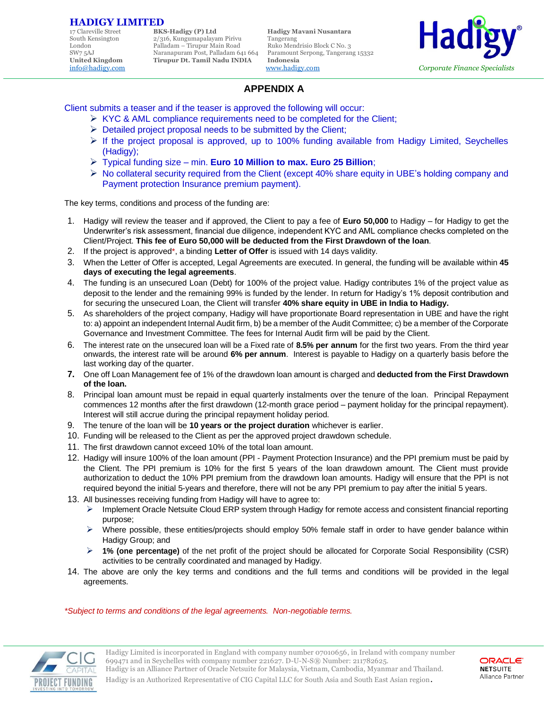# **HADIGY LIMITED**<br>17 Clareville Street BKS-Hadigy (P) Ltd

17 Clareville Street **BKS-Hadigy (P) Ltd Hadigy Mavani Nusantara** 2/316, Kungumapalayam Pirivu Tangerang<br>Palladam – Tirupur Main Road Ruko Mendrisio Block C No. 3 London Palladam – Tirupur Main Road Ruko Mendrisio Block C No. 3 SW7 5AJ Naranapuram Post, Palladam 641 664 Paramount Serpong, Tangerang 15332<br>
United Kingdom Tirupur Dt. Tamil Nadu INDIA Indonesia **United Kingdom Tirupur Dt. Tamil Nadu INDIA Indonesia**

[info@hadigy.com](mailto:info@hadigy.com) [www.hadigy.com](http://www.hadigy.com/) *Corporate Finance Specialists*



#### **APPENDIX A**

Client submits a teaser and if the teaser is approved the following will occur:

- ➢ KYC & AML compliance requirements need to be completed for the Client;
- $\triangleright$  Detailed project proposal needs to be submitted by the Client;
- $\triangleright$  If the project proposal is approved, up to 100% funding available from Hadigy Limited, Seychelles (Hadigy);
- ➢ Typical funding size min. **Euro 10 Million to max. Euro 25 Billion**;
- $\triangleright$  No collateral security required from the Client (except 40% share equity in UBE's holding company and Payment protection Insurance premium payment).

The key terms, conditions and process of the funding are:

- 1. Hadigy will review the teaser and if approved, the Client to pay a fee of **Euro 50,000** to Hadigy for Hadigy to get the Underwriter's risk assessment, financial due diligence, independent KYC and AML compliance checks completed on the Client/Project. **This fee of Euro 50,000 will be deducted from the First Drawdown of the loan**.
- 2. If the project is approved\*, a binding **Letter of Offer** is issued with 14 days validity.
- 3. When the Letter of Offer is accepted, Legal Agreements are executed. In general, the funding will be available within **45 days of executing the legal agreements**.
- 4. The funding is an unsecured Loan (Debt) for 100% of the project value. Hadigy contributes 1% of the project value as deposit to the lender and the remaining 99% is funded by the lender. In return for Hadigy's 1% deposit contribution and for securing the unsecured Loan, the Client will transfer **40% share equity in UBE in India to Hadigy.**
- 5. As shareholders of the project company, Hadigy will have proportionate Board representation in UBE and have the right to: a) appoint an independent Internal Audit firm, b) be a member of the Audit Committee; c) be a member of the Corporate Governance and Investment Committee. The fees for Internal Audit firm will be paid by the Client.
- 6. The interest rate on the unsecured loan will be a Fixed rate of **8.5% per annum** for the first two years. From the third year onwards, the interest rate will be around **6% per annum**. Interest is payable to Hadigy on a quarterly basis before the last working day of the quarter.
- **7.** One off Loan Management fee of 1% of the drawdown loan amount is charged and **deducted from the First Drawdown of the loan.**
- 8. Principal loan amount must be repaid in equal quarterly instalments over the tenure of the loan. Principal Repayment commences 12 months after the first drawdown (12-month grace period – payment holiday for the principal repayment). Interest will still accrue during the principal repayment holiday period.
- 9. The tenure of the loan will be **10 years or the project duration** whichever is earlier.
- 10. Funding will be released to the Client as per the approved project drawdown schedule.
- 11. The first drawdown cannot exceed 10% of the total loan amount.
- 12. Hadigy will insure 100% of the loan amount (PPI Payment Protection Insurance) and the PPI premium must be paid by the Client. The PPI premium is 10% for the first 5 years of the loan drawdown amount. The Client must provide authorization to deduct the 10% PPI premium from the drawdown loan amounts. Hadigy will ensure that the PPI is not required beyond the initial 5-years and therefore, there will not be any PPI premium to pay after the initial 5 years.
- 13. All businesses receiving funding from Hadigy will have to agree to:
	- ➢ Implement Oracle Netsuite Cloud ERP system through Hadigy for remote access and consistent financial reporting purpose;
	- Where possible, these entities/projects should employ 50% female staff in order to have gender balance within Hadigy Group; and
	- ➢ **1% (one percentage)** of the net profit of the project should be allocated for Corporate Social Responsibility (CSR) activities to be centrally coordinated and managed by Hadigy.
- 14. The above are only the key terms and conditions and the full terms and conditions will be provided in the legal agreements.

*\*Subject to terms and conditions of the legal agreements. Non-negotiable terms.*



Hadigy Limited is incorporated in England with company number 07010656, in Ireland with company number 699471 and in Seychelles with company number 221627. D-U-N-S® Number: 211782625. Hadigy is an Alliance Partner of Oracle Netsuite for Malaysia, Vietnam, Cambodia, Myanmar and Thailand.



Hadigy is an Authorized Representative of CIG Capital LLC for South Asia and South East Asian region.